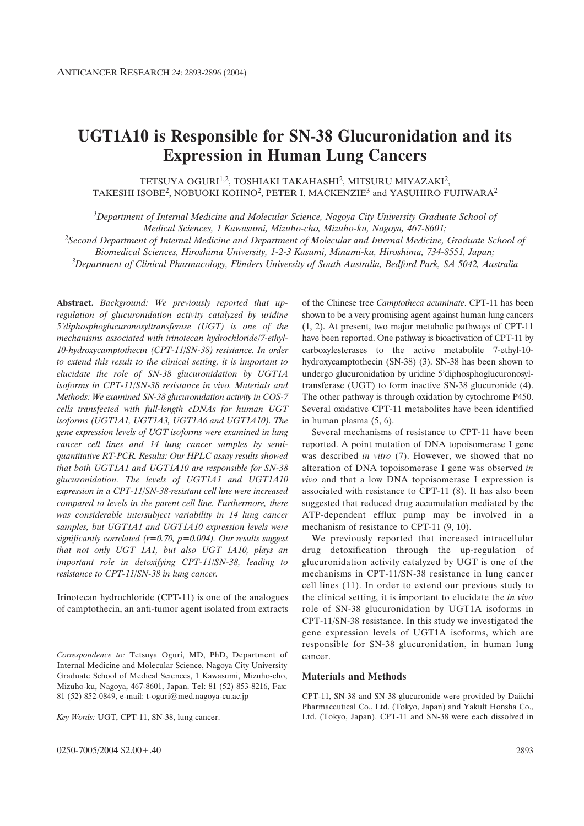# **UGT1A10 is Responsible for SN-38 Glucuronidation and its Expression in Human Lung Cancers**

TETSUYA OGURI<sup>1,2</sup>, TOSHIAKI TAKAHASHI<sup>2</sup>, MITSURU MIYAZAKI<sup>2</sup>, TAKESHI ISOBE<sup>2</sup>, NOBUOKI KOHNO<sup>2</sup>, PETER I. MACKENZIE<sup>3</sup> and YASUHIRO FUJIWARA<sup>2</sup>

*1Department of Internal Medicine and Molecular Science, Nagoya City University Graduate School of Medical Sciences, 1 Kawasumi, Mizuho-cho, Mizuho-ku, Nagoya, 467-8601;* 

*2Second Department of Internal Medicine and Department of Molecular and Internal Medicine, Graduate School of Biomedical Sciences, Hiroshima University, 1-2-3 Kasumi, Minami-ku, Hiroshima, 734-8551, Japan; 3Department of Clinical Pharmacology, Flinders University of South Australia, Bedford Park, SA 5042, Australia*

**Abstract.** *Background: We previously reported that upregulation of glucuronidation activity catalyzed by uridine 5'diphosphoglucuronosyltransferase (UGT) is one of the mechanisms associated with irinotecan hydrochloride/7-ethyl-10-hydroxycamptothecin (CPT-11/SN-38) resistance. In order to extend this result to the clinical setting, it is important to elucidate the role of SN-38 glucuronidation by UGT1A isoforms in CPT-11/SN-38 resistance in vivo. Materials and Methods: We examined SN-38 glucuronidation activity in COS-7 cells transfected with full-length cDNAs for human UGT isoforms (UGT1A1, UGT1A3, UGT1A6 and UGT1A10). The gene expression levels of UGT isoforms were examined in lung cancer cell lines and 14 lung cancer samples by semiquantitative RT-PCR. Results: Our HPLC assay results showed that both UGT1A1 and UGT1A10 are responsible for SN-38 glucuronidation. The levels of UGT1A1 and UGT1A10 expression in a CPT-11/SN-38-resistant cell line were increased compared to levels in the parent cell line. Furthermore, there was considerable intersubject variability in 14 lung cancer samples, but UGT1A1 and UGT1A10 expression levels were significantly correlated (r=0.70, p=0.004). Our results suggest that not only UGT 1A1, but also UGT 1A10, plays an important role in detoxifying CPT-11/SN-38, leading to resistance to CPT-11/SN-38 in lung cancer.*

Irinotecan hydrochloride (CPT-11) is one of the analogues of camptothecin, an anti-tumor agent isolated from extracts

*Correspondence to:* Tetsuya Oguri, MD, PhD, Department of Internal Medicine and Molecular Science, Nagoya City University Graduate School of Medical Sciences, 1 Kawasumi, Mizuho-cho, Mizuho-ku, Nagoya, 467-8601, Japan. Tel: 81 (52) 853-8216, Fax: 81 (52) 852-0849, e-mail: t-oguri@med.nagoya-cu.ac.jp

*Key Words:* UGT, CPT-11, SN-38, lung cancer.

of the Chinese tree *Camptotheca acuminate*. CPT-11 has been shown to be a very promising agent against human lung cancers (1, 2). At present, two major metabolic pathways of CPT-11 have been reported. One pathway is bioactivation of CPT-11 by carboxylesterases to the active metabolite 7-ethyl-10 hydroxycamptothecin (SN-38) (3). SN-38 has been shown to undergo glucuronidation by uridine 5'diphosphoglucuronosyltransferase (UGT) to form inactive SN-38 glucuronide (4). The other pathway is through oxidation by cytochrome P450. Several oxidative CPT-11 metabolites have been identified in human plasma (5, 6).

Several mechanisms of resistance to CPT-11 have been reported. A point mutation of DNA topoisomerase I gene was described *in vitro* (7). However, we showed that no alteration of DNA topoisomerase I gene was observed *in vivo* and that a low DNA topoisomerase I expression is associated with resistance to CPT-11 (8). It has also been suggested that reduced drug accumulation mediated by the ATP-dependent efflux pump may be involved in a mechanism of resistance to CPT-11  $(9, 10)$ .

We previously reported that increased intracellular drug detoxification through the up-regulation of glucuronidation activity catalyzed by UGT is one of the mechanisms in CPT-11/SN-38 resistance in lung cancer cell lines (11). In order to extend our previous study to the clinical setting, it is important to elucidate the *in vivo* role of SN-38 glucuronidation by UGT1A isoforms in CPT-11/SN-38 resistance. In this study we investigated the gene expression levels of UGT1A isoforms, which are responsible for SN-38 glucuronidation, in human lung cancer.

#### **Materials and Methods**

CPT-11, SN-38 and SN-38 glucuronide were provided by Daiichi Pharmaceutical Co., Ltd. (Tokyo, Japan) and Yakult Honsha Co., Ltd. (Tokyo, Japan). CPT-11 and SN-38 were each dissolved in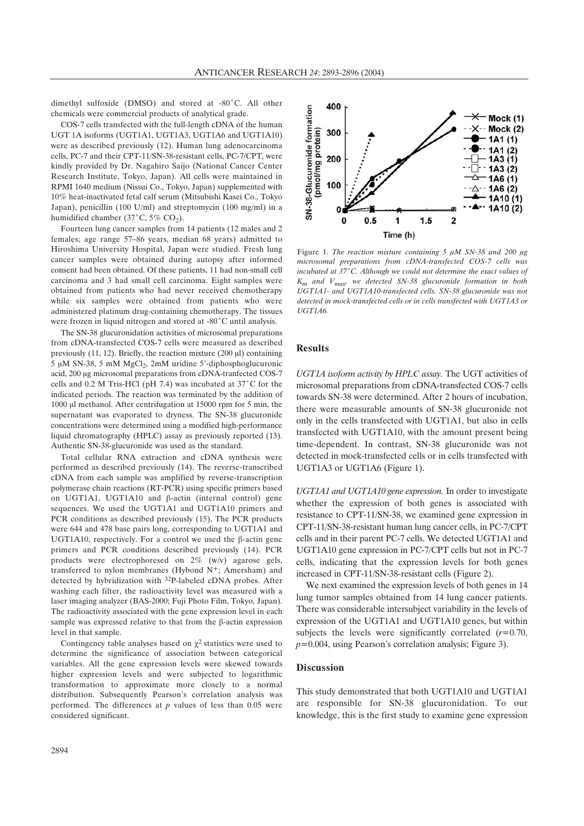dimethyl sulfoxide (DMSO) and stored at  $-80^{\circ}$ C. All other chemicals were commercial products of analytical grade.

COS-7 cells transfected with the full-length cDNA of the human UGT 1A isoforms (UGT1A1, UGT1A3, UGT1A6 and UGT1A10) were as described previously (12). Human lung adenocarcinoma cells, PC-7 and their CPT-11/SN-38-resistant cells, PC-7/CPT, were kindly provided by Dr. Nagahiro Saijo (National Cancer Center Research Institute, Tokyo, Japan). All cells were maintained in RPMI 1640 medium (Nissui Co., Tokyo, Japan) supplemented with 10% heat-inactivated fetal calf serum (Mitsubishi Kasei Co., Tokyo Japan), penicillin (100 U/ml) and streptomycin (100 mg/ml) in a humidified chamber (37 $^{\circ}$ C, 5% CO<sub>2</sub>).

Fourteen lung cancer samples from 14 patients (12 males and 2 females; age range 57–86 years, median 68 years) admitted to Hiroshima University Hospital, Japan were studied. Fresh lung cancer samples were obtained during autopsy after informed consent had been obtained. Of these patients, 11 had non-small cell carcinoma and 3 had small cell carcinoma. Eight samples were obtained from patients who had never received chemotherapy while six samples were obtained from patients who were administered platinum drug-containing chemotherapy. The tissues were frozen in liquid nitrogen and stored at -80°C until analysis.

The SN-38 glucuronidation activities of microsomal preparations from cDNA-transfected COS-7 cells were measured as described previously  $(11, 12)$ . Briefly, the reaction mixture  $(200 \mu l)$  containing  $5 \mu M$  SN-38, 5 mM MgCl<sub>2</sub>, 2mM uridine 5'-diphosphoglucuronic acid, 200 µg microsomal preparations from cDNA-tranfected COS-7 cells and 0.2 M Tris-HCl (pH 7.4) was incubated at  $37^{\circ}$ C for the indicated periods. The reaction was terminated by the addition of 1000  $\mu$ l methanol. After centrifugation at 15000 rpm for 5 min, the supernatant was evaporated to dryness. The SN-38 glucuronide concentrations were determined using a modified high-performance liquid chromatography (HPLC) assay as previously reported (13). Authentic SN-38-glucuronide was used as the standard.

Total cellular RNA extraction and cDNA synthesis were performed as described previously (14). The reverse-transcribed cDNA from each sample was amplified by reverse-transcription polymerase chain reactions (RT-PCR) using specific primers based on UGT1A1, UGT1A10 and  $\beta$ -actin (internal control) gene sequences. We used the UGT1A1 and UGT1A10 primers and PCR conditions as described previously (15). The PCR products were 644 and 478 base pairs long, corresponding to UGT1A1 and UGT1A10, respectively. For a control we used the  $\beta$ -actin gene primers and PCR conditions described previously (14). PCR products were electrophoresed on 2% (w/v) agarose gels, transferred to nylon membranes (Hybond N+; Amersham) and detected by hybridization with 32P-labeled cDNA probes. After washing each filter, the radioactivity level was measured with a laser imaging analyzer (BAS-2000; Fuji Photo Film, Tokyo, Japan). The radioactivity associated with the gene expression level in each sample was expressed relative to that from the  $\beta$ -actin expression level in that sample.

Contingency table analyses based on  $\chi^2$  statistics were used to determine the significance of association between categorical variables. All the gene expression levels were skewed towards higher expression levels and were subjected to logarithmic transformation to approximate more closely to a normal distribution. Subsequently Pearson's correlation analysis was performed. The differences at *p* values of less than 0.05 were considered significant.



Figure 1. *The reaction mixture containing 5*  $\mu$ *M SN-38 and 200*  $\mu$ *g microsomal preparations from cDNA-transfected COS-7 cells was* incubated at 37°C. Although we could not determine the exact values of *Km and Vmax, we detected SN-38 glucuronide formation in both UGT1A1- and UGT1A10-transfected cells. SN-38 glucuronide was not detected in mock-transfected cells or in cells transfected with UGT1A3 or UGT1A6.*

#### **Results**

*UGT1A isoform activity by HPLC assay.* The UGT activities of microsomal preparations from cDNA-transfected COS-7 cells towards SN-38 were determined. After 2 hours of incubation, there were measurable amounts of SN-38 glucuronide not only in the cells transfected with UGT1A1, but also in cells transfected with UGT1A10, with the amount present being time-dependent. In contrast, SN-38 glucuronide was not detected in mock-transfected cells or in cells transfected with UGT1A3 or UGT1A6 (Figure 1).

*UGT1A1 and UGT1A10 gene expression.* In order to investigate whether the expression of both genes is associated with resistance to CPT-11/SN-38, we examined gene expression in CPT-11/SN-38-resistant human lung cancer cells, in PC-7/CPT cells and in their parent PC-7 cells. We detected UGT1A1 and UGT1A10 gene expression in PC-7/CPT cells but not in PC-7 cells, indicating that the expression levels for both genes increased in CPT-11/SN-38-resistant cells (Figure 2).

We next examined the expression levels of both genes in 14 lung tumor samples obtained from 14 lung cancer patients. There was considerable intersubject variability in the levels of expression of the UGT1A1 and UGT1A10 genes, but within subjects the levels were significantly correlated (*r=*0.70, *p=*0.004, using Pearson's correlation analysis; Figure 3).

#### **Discussion**

This study demonstrated that both UGT1A10 and UGT1A1 are responsible for SN-38 glucuronidation. To our knowledge, this is the first study to examine gene expression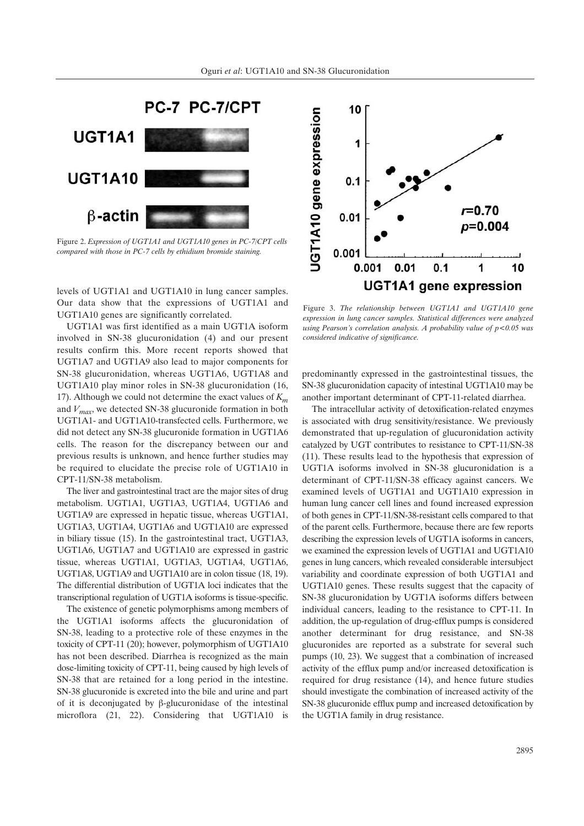

Figure 2. *Expression of UGT1A1 and UGT1A10 genes in PC-7/CPT cells compared with those in PC-7 cells by ethidium bromide staining.*

levels of UGT1A1 and UGT1A10 in lung cancer samples. Our data show that the expressions of UGT1A1 and UGT1A10 genes are significantly correlated.

UGT1A1 was first identified as a main UGT1A isoform involved in SN-38 glucuronidation (4) and our present results confirm this. More recent reports showed that UGT1A7 and UGT1A9 also lead to major components for SN-38 glucuronidation, whereas UGT1A6, UGT1A8 and UGT1A10 play minor roles in SN-38 glucuronidation (16, 17). Although we could not determine the exact values of *Km* and *Vmax*, we detected SN-38 glucuronide formation in both UGT1A1- and UGT1A10-transfected cells. Furthermore, we did not detect any SN-38 glucuronide formation in UGT1A6 cells. The reason for the discrepancy between our and previous results is unknown, and hence further studies may be required to elucidate the precise role of UGT1A10 in CPT-11/SN-38 metabolism.

The liver and gastrointestinal tract are the major sites of drug metabolism. UGT1A1, UGT1A3, UGT1A4, UGT1A6 and UGT1A9 are expressed in hepatic tissue, whereas UGT1A1, UGT1A3, UGT1A4, UGT1A6 and UGT1A10 are expressed in biliary tissue (15). In the gastrointestinal tract, UGT1A3, UGT1A6, UGT1A7 and UGT1A10 are expressed in gastric tissue, whereas UGT1A1, UGT1A3, UGT1A4, UGT1A6, UGT1A8, UGT1A9 and UGT1A10 are in colon tissue (18, 19). The differential distribution of UGT1A loci indicates that the transcriptional regulation of UGT1A isoforms is tissue-specific.

The existence of genetic polymorphisms among members of the UGT1A1 isoforms affects the glucuronidation of SN-38, leading to a protective role of these enzymes in the toxicity of CPT-11 (20); however, polymorphism of UGT1A10 has not been described. Diarrhea is recognized as the main dose-limiting toxicity of CPT-11, being caused by high levels of SN-38 that are retained for a long period in the intestine. SN-38 glucuronide is excreted into the bile and urine and part of it is deconjugated by  $\beta$ -glucuronidase of the intestinal microflora (21, 22). Considering that UGT1A10 is



Figure 3. *The relationship between UGT1A1 and UGT1A10 gene expression in lung cancer samples. Statistical differences were analyzed using Pearson's correlation analysis. A probability value of p<0.05 was considered indicative of significance.*

predominantly expressed in the gastrointestinal tissues, the SN-38 glucuronidation capacity of intestinal UGT1A10 may be another important determinant of CPT-11-related diarrhea.

The intracellular activity of detoxification-related enzymes is associated with drug sensitivity/resistance. We previously demonstrated that up-regulation of glucuronidation activity catalyzed by UGT contributes to resistance to CPT-11/SN-38 (11). These results lead to the hypothesis that expression of UGT1A isoforms involved in SN-38 glucuronidation is a determinant of CPT-11/SN-38 efficacy against cancers. We examined levels of UGT1A1 and UGT1A10 expression in human lung cancer cell lines and found increased expression of both genes in CPT-11/SN-38-resistant cells compared to that of the parent cells. Furthermore, because there are few reports describing the expression levels of UGT1A isoforms in cancers, we examined the expression levels of UGT1A1 and UGT1A10 genes in lung cancers, which revealed considerable intersubject variability and coordinate expression of both UGT1A1 and UGT1A10 genes. These results suggest that the capacity of SN-38 glucuronidation by UGT1A isoforms differs between individual cancers, leading to the resistance to CPT-11. In addition, the up-regulation of drug-efflux pumps is considered another determinant for drug resistance, and SN-38 glucuronides are reported as a substrate for several such pumps (10, 23). We suggest that a combination of increased activity of the efflux pump and/or increased detoxification is required for drug resistance (14), and hence future studies should investigate the combination of increased activity of the SN-38 glucuronide efflux pump and increased detoxification by the UGT1A family in drug resistance.